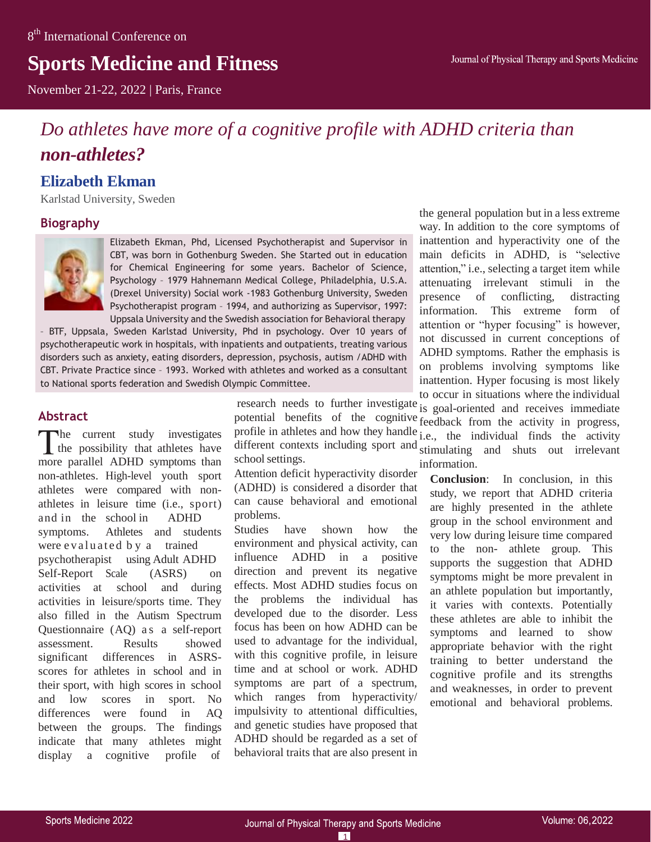# **Sports Medicine and Fitness**

November 21-22, 2022 | Paris, France

# *Do athletes have more of a cognitive profile with ADHD criteria than non-athletes?*

# **Elizabeth Ekman**

Karlstad University, Sweden

#### **Biography**



Elizabeth Ekman, Phd, Licensed Psychotherapist and Supervisor in CBT, was born in Gothenburg Sweden. She Started out in education for Chemical Engineering for some years. Bachelor of Science, Psychology – 1979 Hahnemann Medical College, Philadelphia, U.S.A. (Drexel University) Social work -1983 Gothenburg University, Sweden Psychotherapist program – 1994, and authorizing as Supervisor, 1997: Uppsala University and the Swedish association for Behavioral therapy

psychotherapeutic work in hospitals, with inpatients and outpatients, treating various – BTF, Uppsala, Sweden Karlstad University, Phd in psychology. Over 10 years of disorders such as anxiety, eating disorders, depression, psychosis, autism /ADHD with CBT. Private Practice since – 1993. Worked with athletes and worked as a consultant to National sports federation and Swedish Olympic Committee.

#### **Abstract**

he current study investigates the possibility that athletes have more parallel ADHD symptoms than non-athletes. High-level youth sport athletes were compared with nonathletes in leisure time (i.e., sport) and in the school in ADHD symptoms. Athletes and students were evaluated by a trained psychotherapist using Adult ADHD Self-Report Scale (ASRS) on activities at school and during activities in leisure/sports time. They also filled in the Autism Spectrum Questionnaire (AQ) as a self-report assessment. Results showed significant differences in ASRSscores for athletes in school and in their sport, with high scores in school and low scores in sport. No differences were found in AQ between the groups. The findings indicate that many athletes might display a cognitive profile of

research needs to further investigate potential benefits of the cognitive seedback from the activity in progress, profile in athletes and how they handle different contexts including sport and stimulating and shuts out irrelevant school settings. is goal-oriented and receives immediate

Attention deficit hyperactivity disorder (ADHD) is considered a disorder that can cause behavioral and emotional problems.

Studies have shown how the environment and physical activity, can influence ADHD in a positive direction and prevent its negative effects. Most ADHD studies focus on the problems the individual has developed due to the disorder. Less focus has been on how ADHD can be used to advantage for the individual, with this cognitive profile, in leisure time and at school or work. ADHD symptoms are part of a spectrum, which ranges from hyperactivity/ impulsivity to attentional difficulties, and genetic studies have proposed that ADHD should be regarded as a set of behavioral traits that are also present in

the general population but in a less extreme way. In addition to the core symptoms of inattention and hyperactivity one of the main deficits in ADHD, is "selective attention," i.e., selecting a target item while attenuating irrelevant stimuli in the presence of conflicting, distracting information. This extreme form of attention or "hyper focusing" is however, not discussed in current conceptions of ADHD symptoms. Rather the emphasis is on problems involving symptoms like inattention. Hyper focusing is most likely to occur in situations where the individual

i.e., the individual finds the activity information. **Conclusion**: In conclusion, in this study, we report that ADHD criteria are highly presented in the athlete group in the school environment and very low during leisure time compared to the non- athlete group. This supports the suggestion that ADHD symptoms might be more prevalent in an athlete population but importantly, it varies with contexts. Potentially these athletes are able to inhibit the symptoms and learned to show appropriate behavior with the right training to better understand the cognitive profile and its strengths and weaknesses, in order to prevent

emotional and behavioral problems.